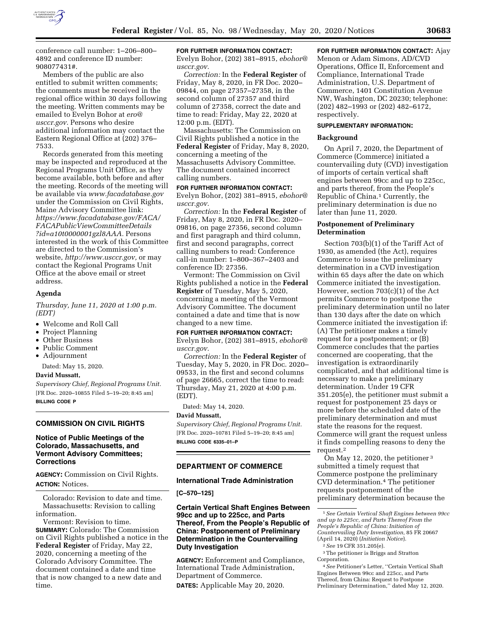

conference call number: 1–206–800– 4892 and conference ID number: 908077431#.

Members of the public are also entitled to submit written comments; the comments must be received in the regional office within 30 days following the meeting. Written comments may be emailed to Evelyn Bohor at *[ero@](mailto:ero@usccr.gov) [usccr.gov.](mailto:ero@usccr.gov)* Persons who desire additional information may contact the Eastern Regional Office at (202) 376– 7533.

Records generated from this meeting may be inspected and reproduced at the Regional Programs Unit Office, as they become available, both before and after the meeting. Records of the meeting will be available via *[www.facadatabase.gov](http://www.facadatabase.gov)*  under the Commission on Civil Rights, Maine Advisory Committee link: *[https://www.facadatabase.gov/FACA/](https://www.facadatabase.gov/FACA/FACAPublicViewCommitteeDetails?id=a10t0000001gzl8AAA)  [FACAPublicViewCommitteeDetails](https://www.facadatabase.gov/FACA/FACAPublicViewCommitteeDetails?id=a10t0000001gzl8AAA) [?id=a10t0000001gzl8AAA.](https://www.facadatabase.gov/FACA/FACAPublicViewCommitteeDetails?id=a10t0000001gzl8AAA)* Persons interested in the work of this Committee are directed to the Commission's website, *[http://www.usccr.gov,](http://www.usccr.gov)* or may contact the Regional Programs Unit Office at the above email or street address.

#### **Agenda**

*Thursday, June 11, 2020 at 1:00 p.m. (EDT)* 

- Welcome and Roll Call
- Project Planning
- Other Business
- Public Comment
- Adjournment

Dated: May 15, 2020.

#### **David Mussatt,**

*Supervisory Chief, Regional Programs Unit.*  [FR Doc. 2020–10855 Filed 5–19–20; 8:45 am] **BILLING CODE P** 

### **COMMISSION ON CIVIL RIGHTS**

### **Notice of Public Meetings of the Colorado, Massachusetts, and Vermont Advisory Committees; Corrections**

### **AGENCY:** Commission on Civil Rights. **ACTION:** Notices.

Colorado: Revision to date and time. Massachusetts: Revision to calling information.

Vermont: Revision to time. **SUMMARY:** Colorado: The Commission on Civil Rights published a notice in the **Federal Register** of Friday, May 22, 2020, concerning a meeting of the Colorado Advisory Committee. The document contained a date and time that is now changed to a new date and time.

**FOR FURTHER INFORMATION CONTACT:**  Evelyn Bohor, (202) 381–8915, *[ebohor@](mailto:ebohor@usccr.gov) [usccr.gov.](mailto:ebohor@usccr.gov)* 

*Correction:* In the **Federal Register** of Friday, May 8, 2020, in FR Doc. 2020– 09844, on page 27357–27358, in the second column of 27357 and third column of 27358, correct the date and time to read: Friday, May 22, 2020 at 12:00 p.m. (EDT).

Massachusetts: The Commission on Civil Rights published a notice in the **Federal Register** of Friday, May 8, 2020, concerning a meeting of the Massachusetts Advisory Committee. The document contained incorrect calling numbers.

**FOR FURTHER INFORMATION CONTACT:**  Evelyn Bohor, (202) 381–8915, *[ebohor@](mailto:ebohor@usccr.gov) [usccr.gov.](mailto:ebohor@usccr.gov)* 

*Correction:* In the **Federal Register** of Friday, May 8, 2020, in FR Doc. 2020– 09816, on page 27356, second column and first paragraph and third column, first and second paragraphs, correct calling numbers to read: Conference call-in number: 1–800–367–2403 and conference ID: 27356.

Vermont: The Commission on Civil Rights published a notice in the **Federal Register** of Tuesday, May 5, 2020, concerning a meeting of the Vermont Advisory Committee. The document contained a date and time that is now changed to a new time.

# **FOR FURTHER INFORMATION CONTACT:**

Evelyn Bohor, (202) 381–8915, *[ebohor@](mailto:ebohor@usccr.gov) [usccr.gov.](mailto:ebohor@usccr.gov)* 

*Correction:* In the **Federal Register** of Tuesday, May 5, 2020, in FR Doc. 2020– 09533, in the first and second columns of page 26665, correct the time to read: Thursday, May 21, 2020 at 4:00 p.m. (EDT).

Dated: May 14, 2020.

#### **David Mussatt,**

*Supervisory Chief, Regional Programs Unit.*  [FR Doc. 2020–10781 Filed 5–19–20; 8:45 am]

**BILLING CODE 6335–01–P** 

#### **DEPARTMENT OF COMMERCE**

#### **International Trade Administration**

#### **[C–570–125]**

### **Certain Vertical Shaft Engines Between 99cc and up to 225cc, and Parts Thereof, From the People's Republic of China: Postponement of Preliminary Determination in the Countervailing Duty Investigation**

**AGENCY:** Enforcement and Compliance, International Trade Administration, Department of Commerce. **DATES:** Applicable May 20, 2020.

**FOR FURTHER INFORMATION CONTACT:** Ajay

Menon or Adam Simons, AD/CVD Operations, Office II, Enforcement and Compliance, International Trade Administration, U.S. Department of Commerce, 1401 Constitution Avenue NW, Washington, DC 20230; telephone: (202) 482–1993 or (202) 482–6172, respectively.

### **SUPPLEMENTARY INFORMATION:**

#### **Background**

On April 7, 2020, the Department of Commerce (Commerce) initiated a countervailing duty (CVD) investigation of imports of certain vertical shaft engines between 99cc and up to 225cc, and parts thereof, from the People's Republic of China.1 Currently, the preliminary determination is due no later than June 11, 2020.

#### **Postponement of Preliminary Determination**

Section 703(b)(1) of the Tariff Act of 1930, as amended (the Act), requires Commerce to issue the preliminary determination in a CVD investigation within 65 days after the date on which Commerce initiated the investigation. However, section 703(c)(1) of the Act permits Commerce to postpone the preliminary determination until no later than 130 days after the date on which Commerce initiated the investigation if: (A) The petitioner makes a timely request for a postponement; or (B) Commerce concludes that the parties concerned are cooperating, that the investigation is extraordinarily complicated, and that additional time is necessary to make a preliminary determination. Under 19 CFR 351.205(e), the petitioner must submit a request for postponement 25 days or more before the scheduled date of the preliminary determination and must state the reasons for the request. Commerce will grant the request unless it finds compelling reasons to deny the request.2

On May 12, 2020, the petitioner 3 submitted a timely request that Commerce postpone the preliminary CVD determination.4 The petitioner requests postponement of the preliminary determination because the

3The petitioner is Briggs and Stratton Corporation.

4*See* Petitioner's Letter, ''Certain Vertical Shaft Engines Between 99cc and 225cc, and Parts Thereof, from China: Request to Postpone Preliminary Determination,'' dated May 12, 2020.

<sup>1</sup>*See Certain Vertical Shaft Engines between 99cc and up to 225cc, and Parts Thereof From the People's Republic of China: Initiation of Countervailing Duty Investigation,* 85 FR 20667 (April 14, 2020) (*Initiation Notice*). 2*See* 19 CFR 351.205(e).